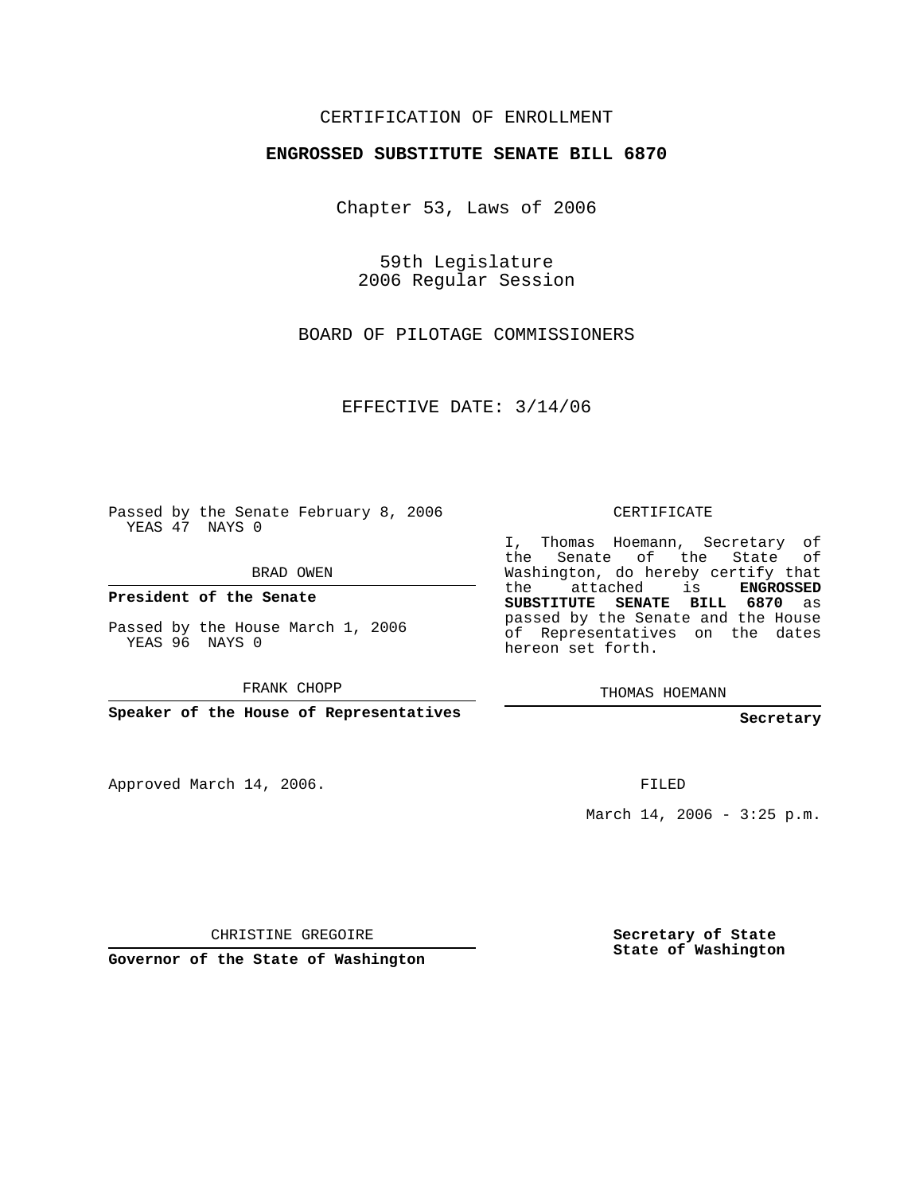## CERTIFICATION OF ENROLLMENT

## **ENGROSSED SUBSTITUTE SENATE BILL 6870**

Chapter 53, Laws of 2006

59th Legislature 2006 Regular Session

BOARD OF PILOTAGE COMMISSIONERS

EFFECTIVE DATE: 3/14/06

Passed by the Senate February 8, 2006 YEAS 47 NAYS 0

BRAD OWEN

**President of the Senate**

Passed by the House March 1, 2006 YEAS 96 NAYS 0

FRANK CHOPP

**Speaker of the House of Representatives**

Approved March 14, 2006.

CERTIFICATE

I, Thomas Hoemann, Secretary of the Senate of the State of Washington, do hereby certify that the attached is **ENGROSSED SUBSTITUTE SENATE BILL 6870** as passed by the Senate and the House of Representatives on the dates hereon set forth.

THOMAS HOEMANN

**Secretary**

FILED

March  $14, 2006 - 3:25 p.m.$ 

CHRISTINE GREGOIRE

**Governor of the State of Washington**

**Secretary of State State of Washington**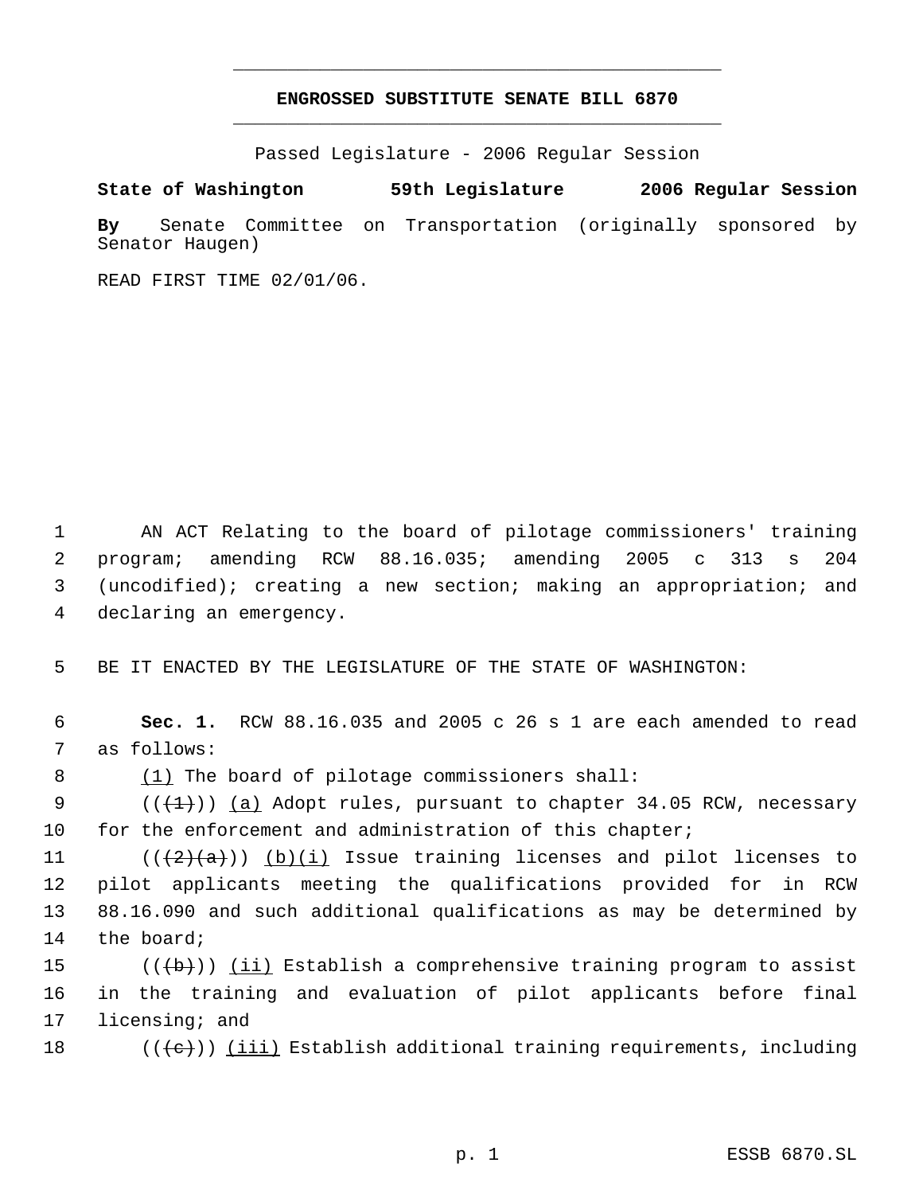## **ENGROSSED SUBSTITUTE SENATE BILL 6870** \_\_\_\_\_\_\_\_\_\_\_\_\_\_\_\_\_\_\_\_\_\_\_\_\_\_\_\_\_\_\_\_\_\_\_\_\_\_\_\_\_\_\_\_\_

\_\_\_\_\_\_\_\_\_\_\_\_\_\_\_\_\_\_\_\_\_\_\_\_\_\_\_\_\_\_\_\_\_\_\_\_\_\_\_\_\_\_\_\_\_

Passed Legislature - 2006 Regular Session

## **State of Washington 59th Legislature 2006 Regular Session**

**By** Senate Committee on Transportation (originally sponsored by Senator Haugen)

READ FIRST TIME 02/01/06.

 AN ACT Relating to the board of pilotage commissioners' training program; amending RCW 88.16.035; amending 2005 c 313 s 204 (uncodified); creating a new section; making an appropriation; and declaring an emergency.

5 BE IT ENACTED BY THE LEGISLATURE OF THE STATE OF WASHINGTON:

 6 **Sec. 1.** RCW 88.16.035 and 2005 c 26 s 1 are each amended to read 7 as follows:

8 (1) The board of pilotage commissioners shall:

9 ( $(\{+1\})$  <u>(a)</u> Adopt rules, pursuant to chapter 34.05 RCW, necessary 10 for the enforcement and administration of this chapter;

 $((\langle 2 \rangle \langle a \rangle))$  (b)(i) Issue training licenses and pilot licenses to pilot applicants meeting the qualifications provided for in RCW 88.16.090 and such additional qualifications as may be determined by the board;

15  $((\{b\})\)$  <u>(ii)</u> Establish a comprehensive training program to assist 16 in the training and evaluation of pilot applicants before final 17 licensing; and

18 ( $(\langle e \rangle)$ ) <u>(iii)</u> Establish additional training requirements, including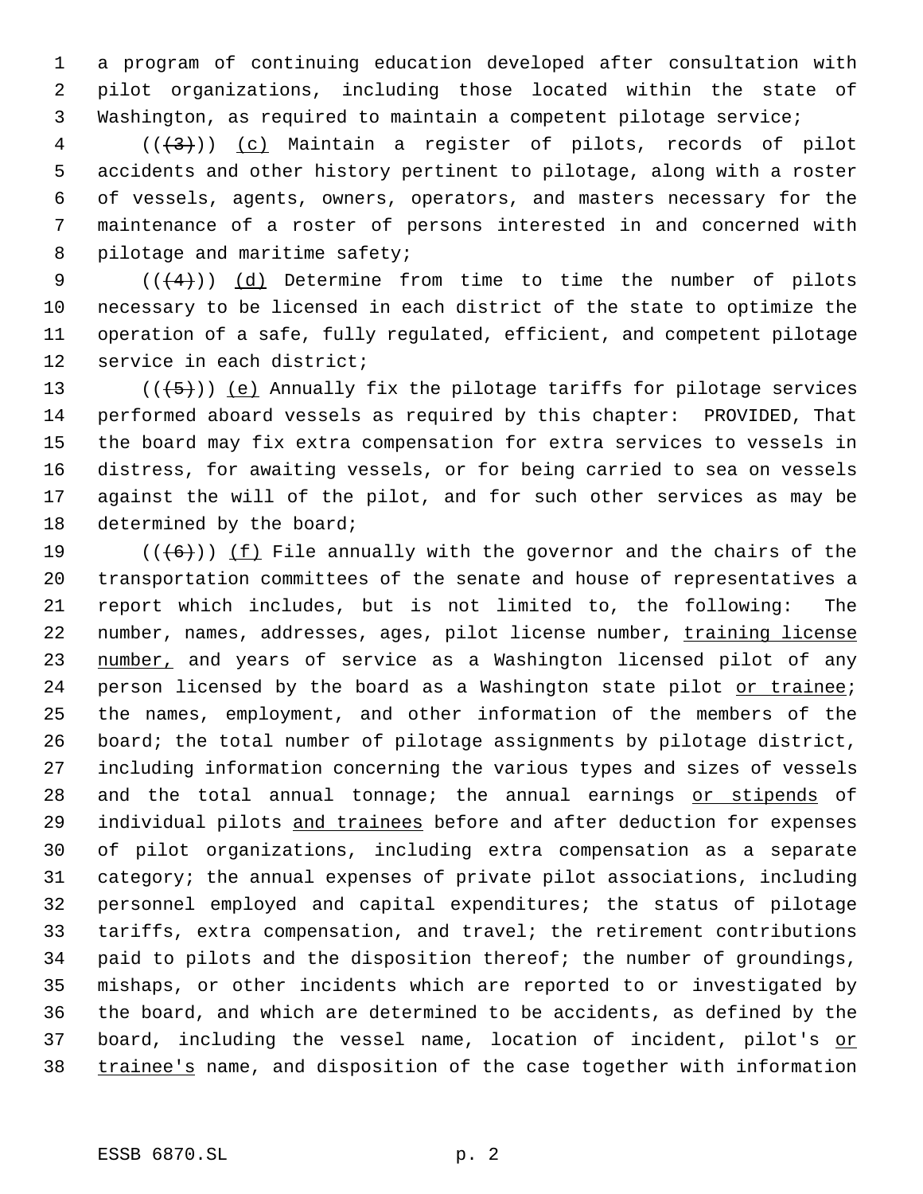a program of continuing education developed after consultation with pilot organizations, including those located within the state of Washington, as required to maintain a competent pilotage service;

  $((+3))$   $(c)$  Maintain a register of pilots, records of pilot accidents and other history pertinent to pilotage, along with a roster of vessels, agents, owners, operators, and masters necessary for the maintenance of a roster of persons interested in and concerned with 8 pilotage and maritime safety;

 $((+4))$   $(d)$  Determine from time to time the number of pilots necessary to be licensed in each district of the state to optimize the operation of a safe, fully regulated, efficient, and competent pilotage service in each district;

 $((+5))$  (e) Annually fix the pilotage tariffs for pilotage services performed aboard vessels as required by this chapter: PROVIDED, That the board may fix extra compensation for extra services to vessels in distress, for awaiting vessels, or for being carried to sea on vessels against the will of the pilot, and for such other services as may be 18 determined by the board;

 $((+6))$  ( $(f)$  File annually with the governor and the chairs of the transportation committees of the senate and house of representatives a report which includes, but is not limited to, the following: The 22 number, names, addresses, ages, pilot license number, training license 23 number, and years of service as a Washington licensed pilot of any 24 person licensed by the board as a Washington state pilot or trainee; the names, employment, and other information of the members of the board; the total number of pilotage assignments by pilotage district, including information concerning the various types and sizes of vessels 28 and the total annual tonnage; the annual earnings or stipends of 29 individual pilots and trainees before and after deduction for expenses of pilot organizations, including extra compensation as a separate category; the annual expenses of private pilot associations, including personnel employed and capital expenditures; the status of pilotage tariffs, extra compensation, and travel; the retirement contributions paid to pilots and the disposition thereof; the number of groundings, mishaps, or other incidents which are reported to or investigated by the board, and which are determined to be accidents, as defined by the 37 board, including the vessel name, location of incident, pilot's or 38 trainee's name, and disposition of the case together with information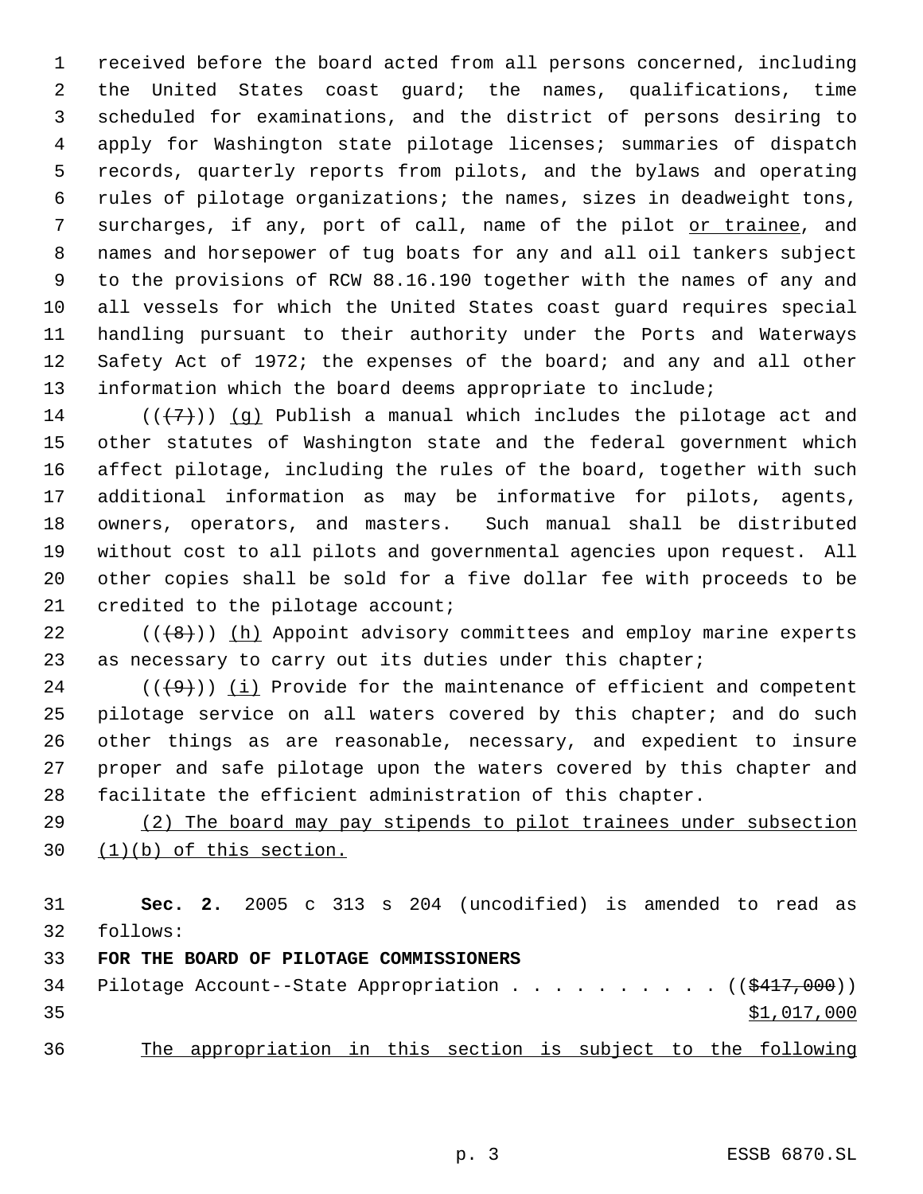received before the board acted from all persons concerned, including the United States coast guard; the names, qualifications, time scheduled for examinations, and the district of persons desiring to apply for Washington state pilotage licenses; summaries of dispatch records, quarterly reports from pilots, and the bylaws and operating rules of pilotage organizations; the names, sizes in deadweight tons, surcharges, if any, port of call, name of the pilot or trainee, and names and horsepower of tug boats for any and all oil tankers subject to the provisions of RCW 88.16.190 together with the names of any and all vessels for which the United States coast guard requires special handling pursuant to their authority under the Ports and Waterways Safety Act of 1972; the expenses of the board; and any and all other information which the board deems appropriate to include;

14 ( $(\overline{\langle 7 \rangle})$ ) (q) Publish a manual which includes the pilotage act and other statutes of Washington state and the federal government which affect pilotage, including the rules of the board, together with such additional information as may be informative for pilots, agents, owners, operators, and masters. Such manual shall be distributed without cost to all pilots and governmental agencies upon request. All other copies shall be sold for a five dollar fee with proceeds to be 21 credited to the pilotage account;

22  $((+8))$  ( $(h)$  Appoint advisory committees and employ marine experts 23 as necessary to carry out its duties under this chapter;

 $((+9))$  (i) Provide for the maintenance of efficient and competent pilotage service on all waters covered by this chapter; and do such other things as are reasonable, necessary, and expedient to insure proper and safe pilotage upon the waters covered by this chapter and facilitate the efficient administration of this chapter.

 (2) The board may pay stipends to pilot trainees under subsection (1)(b) of this section.

 **Sec. 2.** 2005 c 313 s 204 (uncodified) is amended to read as follows: **FOR THE BOARD OF PILOTAGE COMMISSIONERS** 34 Pilotage Account--State Appropriation . . . . . . . . . ((\$417,000))  $\frac{1}{2}$ ,017,000 The appropriation in this section is subject to the following